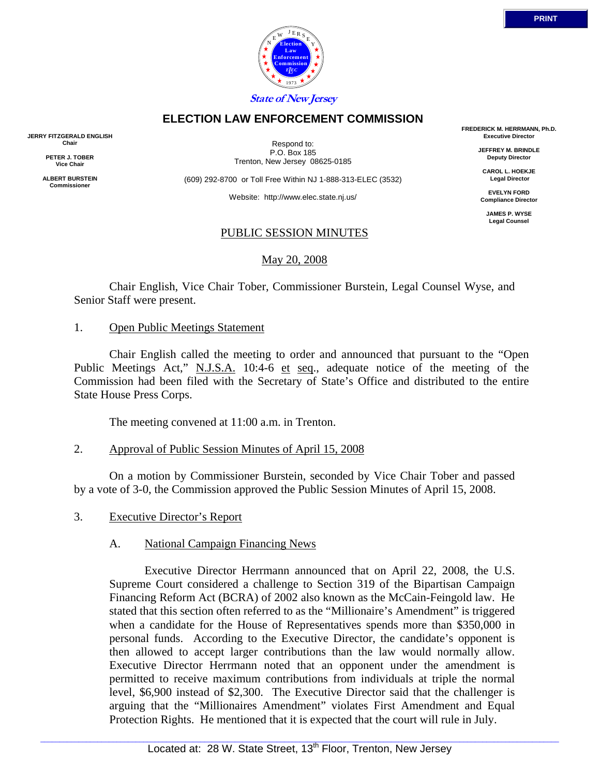

## **ELECTION LAW ENFORCEMENT COMMISSION**

**JERRY FITZGERALD ENGLISH Chair** 

> **PETER J. TOBER Vice Chair**

**ALBERT BURSTEIN Commissioner** 

Respond to: P.O. Box 185 Trenton, New Jersey 08625-0185

(609) 292-8700 or Toll Free Within NJ 1-888-313-ELEC (3532)

Website: http://www.elec.state.nj.us/

## PUBLIC SESSION MINUTES

May 20, 2008

 Chair English, Vice Chair Tober, Commissioner Burstein, Legal Counsel Wyse, and Senior Staff were present.

### 1. Open Public Meetings Statement

 Chair English called the meeting to order and announced that pursuant to the "Open Public Meetings Act," N.J.S.A. 10:4-6 et seq., adequate notice of the meeting of the Commission had been filed with the Secretary of State's Office and distributed to the entire State House Press Corps.

The meeting convened at 11:00 a.m. in Trenton.

2. Approval of Public Session Minutes of April 15, 2008

 On a motion by Commissioner Burstein, seconded by Vice Chair Tober and passed by a vote of 3-0, the Commission approved the Public Session Minutes of April 15, 2008.

3. Executive Director's Report

## A. National Campaign Financing News

 Executive Director Herrmann announced that on April 22, 2008, the U.S. Supreme Court considered a challenge to Section 319 of the Bipartisan Campaign Financing Reform Act (BCRA) of 2002 also known as the McCain-Feingold law. He stated that this section often referred to as the "Millionaire's Amendment" is triggered when a candidate for the House of Representatives spends more than \$350,000 in personal funds. According to the Executive Director, the candidate's opponent is then allowed to accept larger contributions than the law would normally allow. Executive Director Herrmann noted that an opponent under the amendment is permitted to receive maximum contributions from individuals at triple the normal level, \$6,900 instead of \$2,300. The Executive Director said that the challenger is arguing that the "Millionaires Amendment" violates First Amendment and Equal Protection Rights. He mentioned that it is expected that the court will rule in July.

**FREDERICK M. HERRMANN, Ph.D. Executive Director JEFFREY M. BRINDLE Deputy Director CAROL L. HOEKJE Legal Director EVELYN FORD Compliance Director JAMES P. WYSE Legal Counsel**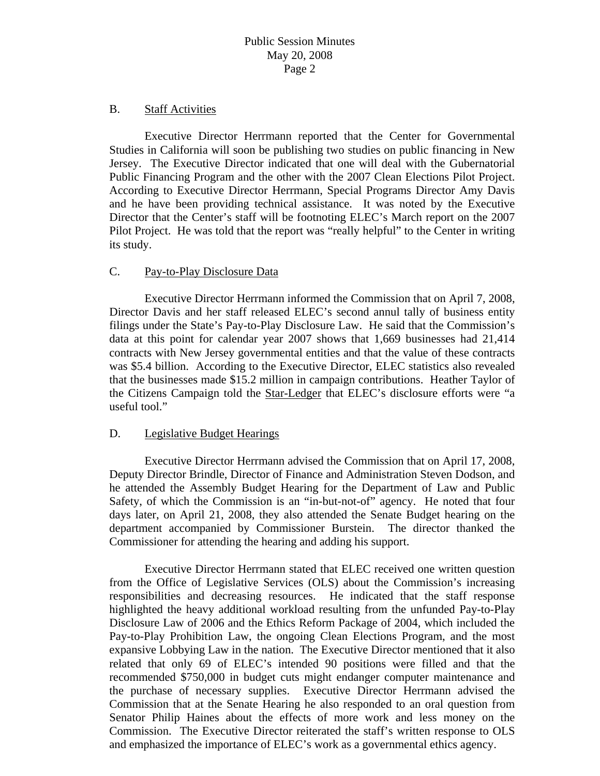### B. Staff Activities

 Executive Director Herrmann reported that the Center for Governmental Studies in California will soon be publishing two studies on public financing in New Jersey. The Executive Director indicated that one will deal with the Gubernatorial Public Financing Program and the other with the 2007 Clean Elections Pilot Project. According to Executive Director Herrmann, Special Programs Director Amy Davis and he have been providing technical assistance. It was noted by the Executive Director that the Center's staff will be footnoting ELEC's March report on the 2007 Pilot Project. He was told that the report was "really helpful" to the Center in writing its study.

## C. Pay-to-Play Disclosure Data

 Executive Director Herrmann informed the Commission that on April 7, 2008, Director Davis and her staff released ELEC's second annul tally of business entity filings under the State's Pay-to-Play Disclosure Law. He said that the Commission's data at this point for calendar year 2007 shows that 1,669 businesses had 21,414 contracts with New Jersey governmental entities and that the value of these contracts was \$5.4 billion. According to the Executive Director, ELEC statistics also revealed that the businesses made \$15.2 million in campaign contributions. Heather Taylor of the Citizens Campaign told the Star-Ledger that ELEC's disclosure efforts were "a useful tool."

## D. Legislative Budget Hearings

 Executive Director Herrmann advised the Commission that on April 17, 2008, Deputy Director Brindle, Director of Finance and Administration Steven Dodson, and he attended the Assembly Budget Hearing for the Department of Law and Public Safety, of which the Commission is an "in-but-not-of" agency. He noted that four days later, on April 21, 2008, they also attended the Senate Budget hearing on the department accompanied by Commissioner Burstein. The director thanked the Commissioner for attending the hearing and adding his support.

 Executive Director Herrmann stated that ELEC received one written question from the Office of Legislative Services (OLS) about the Commission's increasing responsibilities and decreasing resources. He indicated that the staff response highlighted the heavy additional workload resulting from the unfunded Pay-to-Play Disclosure Law of 2006 and the Ethics Reform Package of 2004, which included the Pay-to-Play Prohibition Law, the ongoing Clean Elections Program, and the most expansive Lobbying Law in the nation. The Executive Director mentioned that it also related that only 69 of ELEC's intended 90 positions were filled and that the recommended \$750,000 in budget cuts might endanger computer maintenance and the purchase of necessary supplies. Executive Director Herrmann advised the Commission that at the Senate Hearing he also responded to an oral question from Senator Philip Haines about the effects of more work and less money on the Commission. The Executive Director reiterated the staff's written response to OLS and emphasized the importance of ELEC's work as a governmental ethics agency.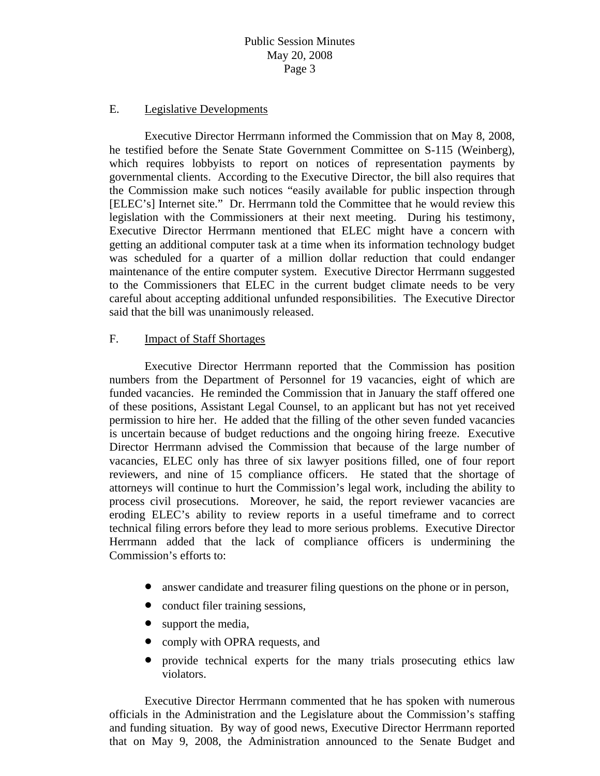### E. Legislative Developments

 Executive Director Herrmann informed the Commission that on May 8, 2008, he testified before the Senate State Government Committee on S-115 (Weinberg), which requires lobbyists to report on notices of representation payments by governmental clients. According to the Executive Director, the bill also requires that the Commission make such notices "easily available for public inspection through [ELEC's] Internet site." Dr. Herrmann told the Committee that he would review this legislation with the Commissioners at their next meeting. During his testimony, Executive Director Herrmann mentioned that ELEC might have a concern with getting an additional computer task at a time when its information technology budget was scheduled for a quarter of a million dollar reduction that could endanger maintenance of the entire computer system. Executive Director Herrmann suggested to the Commissioners that ELEC in the current budget climate needs to be very careful about accepting additional unfunded responsibilities. The Executive Director said that the bill was unanimously released.

### F. Impact of Staff Shortages

 Executive Director Herrmann reported that the Commission has position numbers from the Department of Personnel for 19 vacancies, eight of which are funded vacancies. He reminded the Commission that in January the staff offered one of these positions, Assistant Legal Counsel, to an applicant but has not yet received permission to hire her. He added that the filling of the other seven funded vacancies is uncertain because of budget reductions and the ongoing hiring freeze. Executive Director Herrmann advised the Commission that because of the large number of vacancies, ELEC only has three of six lawyer positions filled, one of four report reviewers, and nine of 15 compliance officers. He stated that the shortage of attorneys will continue to hurt the Commission's legal work, including the ability to process civil prosecutions. Moreover, he said, the report reviewer vacancies are eroding ELEC's ability to review reports in a useful timeframe and to correct technical filing errors before they lead to more serious problems. Executive Director Herrmann added that the lack of compliance officers is undermining the Commission's efforts to:

- answer candidate and treasurer filing questions on the phone or in person,
- conduct filer training sessions,
- support the media,
- comply with OPRA requests, and
- provide technical experts for the many trials prosecuting ethics law violators.

 Executive Director Herrmann commented that he has spoken with numerous officials in the Administration and the Legislature about the Commission's staffing and funding situation. By way of good news, Executive Director Herrmann reported that on May 9, 2008, the Administration announced to the Senate Budget and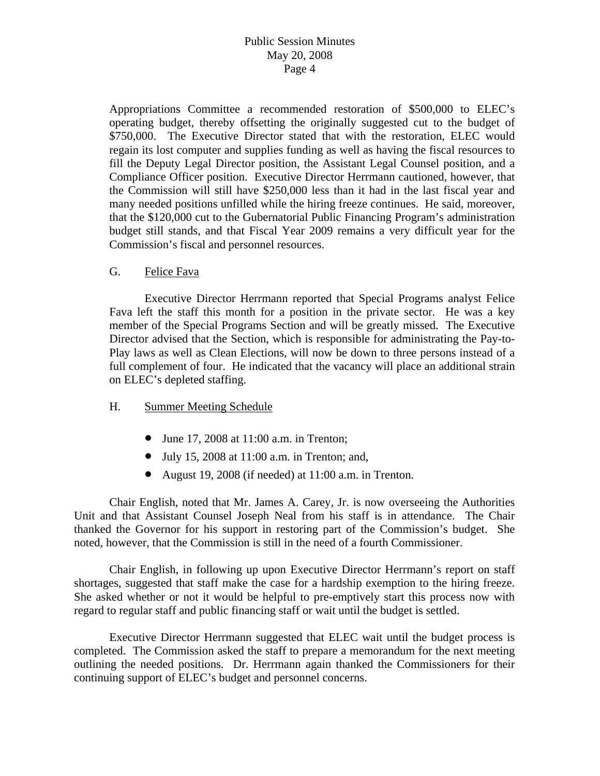Appropriations Committee a recommended restoration of \$500,000 to ELEC's operating budget, thereby offsetting the originally suggested cut to the budget of \$750,000. The Executive Director stated that with the restoration, ELEC would regain its lost computer and supplies funding as well as having the fiscal resources to fill the Deputy Legal Director position, the Assistant Legal Counsel position, and a Compliance Officer position. Executive Director Herrmann cautioned, however, that the Commission will still have \$250,000 less than it had in the last fiscal year and many needed positions unfilled while the hiring freeze continues. He said, moreover, that the \$120,000 cut to the Gubernatorial Public Financing Program's administration budget still stands, and that Fiscal Year 2009 remains a very difficult year for the Commission's fiscal and personnel resources.

G. Felice Fava

 Executive Director Herrmann reported that Special Programs analyst Felice Fava left the staff this month for a position in the private sector. He was a key member of the Special Programs Section and will be greatly missed. The Executive Director advised that the Section, which is responsible for administrating the Pay-to-Play laws as well as Clean Elections, will now be down to three persons instead of a full complement of four. He indicated that the vacancy will place an additional strain on ELEC's depleted staffing.

- H. Summer Meeting Schedule
	- June 17, 2008 at 11:00 a.m. in Trenton;
	- July 15, 2008 at  $11:00$  a.m. in Trenton; and,
	- August 19, 2008 (if needed) at 11:00 a.m. in Trenton.

 Chair English, noted that Mr. James A. Carey, Jr. is now overseeing the Authorities Unit and that Assistant Counsel Joseph Neal from his staff is in attendance. The Chair thanked the Governor for his support in restoring part of the Commission's budget. She noted, however, that the Commission is still in the need of a fourth Commissioner.

 Chair English, in following up upon Executive Director Herrmann's report on staff shortages, suggested that staff make the case for a hardship exemption to the hiring freeze. She asked whether or not it would be helpful to pre-emptively start this process now with regard to regular staff and public financing staff or wait until the budget is settled.

 Executive Director Herrmann suggested that ELEC wait until the budget process is completed. The Commission asked the staff to prepare a memorandum for the next meeting outlining the needed positions. Dr. Herrmann again thanked the Commissioners for their continuing support of ELEC's budget and personnel concerns.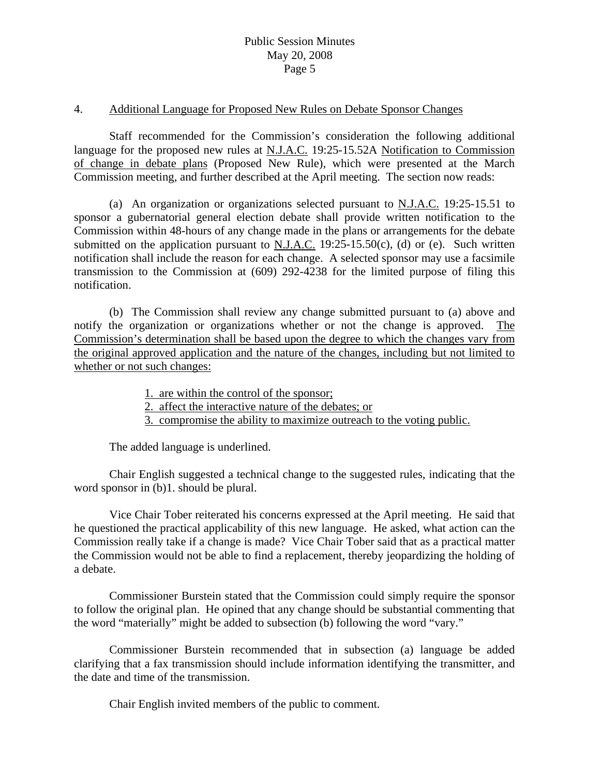#### 4. Additional Language for Proposed New Rules on Debate Sponsor Changes

 Staff recommended for the Commission's consideration the following additional language for the proposed new rules at N.J.A.C. 19:25-15.52A Notification to Commission of change in debate plans (Proposed New Rule), which were presented at the March Commission meeting, and further described at the April meeting. The section now reads:

 (a) An organization or organizations selected pursuant to N.J.A.C. 19:25-15.51 to sponsor a gubernatorial general election debate shall provide written notification to the Commission within 48-hours of any change made in the plans or arrangements for the debate submitted on the application pursuant to N.J.A.C.  $19:25-15.50(c)$ , (d) or (e). Such written notification shall include the reason for each change. A selected sponsor may use a facsimile transmission to the Commission at (609) 292-4238 for the limited purpose of filing this notification.

 (b) The Commission shall review any change submitted pursuant to (a) above and notify the organization or organizations whether or not the change is approved. The Commission's determination shall be based upon the degree to which the changes vary from the original approved application and the nature of the changes, including but not limited to whether or not such changes:

1. are within the control of the sponsor;

2. affect the interactive nature of the debates; or

3. compromise the ability to maximize outreach to the voting public.

The added language is underlined.

 Chair English suggested a technical change to the suggested rules, indicating that the word sponsor in (b)1. should be plural.

 Vice Chair Tober reiterated his concerns expressed at the April meeting. He said that he questioned the practical applicability of this new language. He asked, what action can the Commission really take if a change is made? Vice Chair Tober said that as a practical matter the Commission would not be able to find a replacement, thereby jeopardizing the holding of a debate.

 Commissioner Burstein stated that the Commission could simply require the sponsor to follow the original plan. He opined that any change should be substantial commenting that the word "materially" might be added to subsection (b) following the word "vary."

 Commissioner Burstein recommended that in subsection (a) language be added clarifying that a fax transmission should include information identifying the transmitter, and the date and time of the transmission.

Chair English invited members of the public to comment.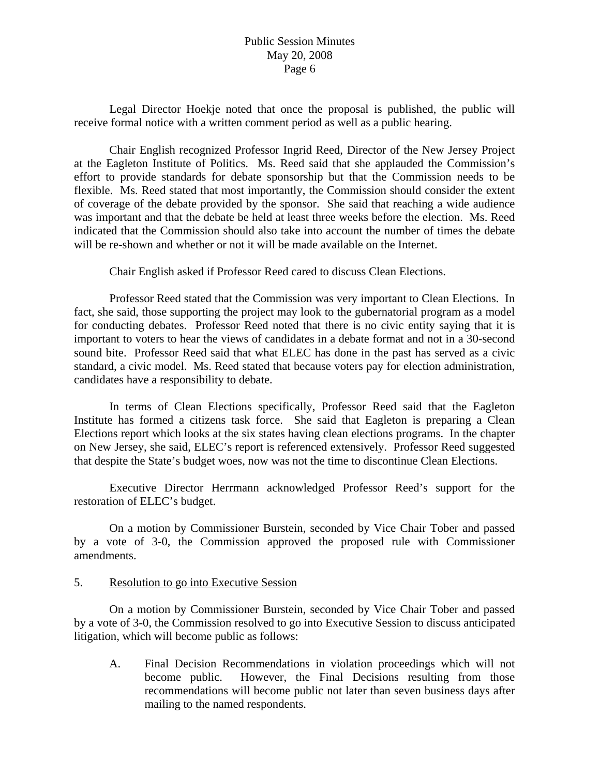Legal Director Hoekje noted that once the proposal is published, the public will receive formal notice with a written comment period as well as a public hearing.

 Chair English recognized Professor Ingrid Reed, Director of the New Jersey Project at the Eagleton Institute of Politics. Ms. Reed said that she applauded the Commission's effort to provide standards for debate sponsorship but that the Commission needs to be flexible. Ms. Reed stated that most importantly, the Commission should consider the extent of coverage of the debate provided by the sponsor. She said that reaching a wide audience was important and that the debate be held at least three weeks before the election. Ms. Reed indicated that the Commission should also take into account the number of times the debate will be re-shown and whether or not it will be made available on the Internet.

Chair English asked if Professor Reed cared to discuss Clean Elections.

 Professor Reed stated that the Commission was very important to Clean Elections. In fact, she said, those supporting the project may look to the gubernatorial program as a model for conducting debates. Professor Reed noted that there is no civic entity saying that it is important to voters to hear the views of candidates in a debate format and not in a 30-second sound bite. Professor Reed said that what ELEC has done in the past has served as a civic standard, a civic model. Ms. Reed stated that because voters pay for election administration, candidates have a responsibility to debate.

 In terms of Clean Elections specifically, Professor Reed said that the Eagleton Institute has formed a citizens task force. She said that Eagleton is preparing a Clean Elections report which looks at the six states having clean elections programs. In the chapter on New Jersey, she said, ELEC's report is referenced extensively. Professor Reed suggested that despite the State's budget woes, now was not the time to discontinue Clean Elections.

 Executive Director Herrmann acknowledged Professor Reed's support for the restoration of ELEC's budget.

 On a motion by Commissioner Burstein, seconded by Vice Chair Tober and passed by a vote of 3-0, the Commission approved the proposed rule with Commissioner amendments.

## 5. Resolution to go into Executive Session

 On a motion by Commissioner Burstein, seconded by Vice Chair Tober and passed by a vote of 3-0, the Commission resolved to go into Executive Session to discuss anticipated litigation, which will become public as follows:

A. Final Decision Recommendations in violation proceedings which will not become public. However, the Final Decisions resulting from those recommendations will become public not later than seven business days after mailing to the named respondents.